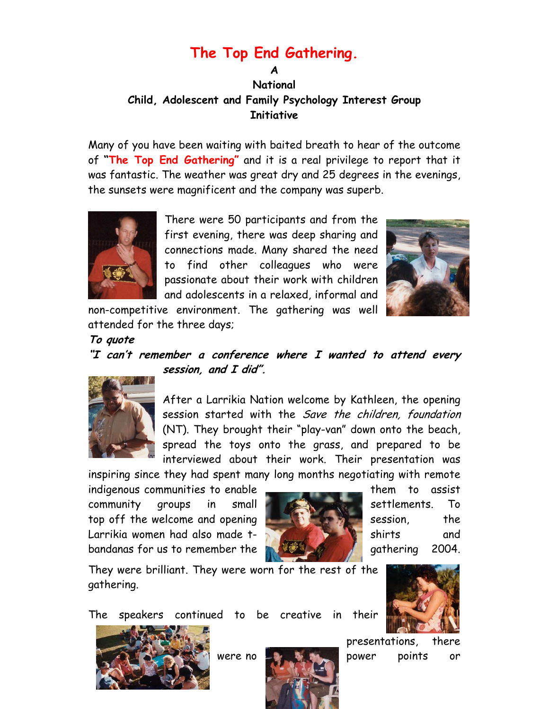## **The Top End Gathering.**

## **A National Child, Adolescent and Family Psychology Interest Group Initiative**

Many of you have been waiting with baited breath to hear of the outcome of **"The Top End Gathering"** and it is a real privilege to report that it was fantastic. The weather was great dry and 25 degrees in the evenings, the sunsets were magnificent and the company was superb.



There were 50 participants and from the first evening, there was deep sharing and connections made. Many shared the need to find other colleagues who were passionate about their work with children and adolescents in a relaxed, informal and



non-competitive environment. The gathering was well attended for the three days;

**To quote**

## **"I can't remember a conference where I wanted to attend every session, and I did".**



After a Larrikia Nation welcome by Kathleen, the opening session started with the *Save the children, foundation* (NT). They brought their "play-van" down onto the beach, spread the toys onto the grass, and prepared to be interviewed about their work. Their presentation was

inspiring since they had spent many long months negotiating with remote

indigenous communities to enable **them** to assist community groups in small settlements. To top off the welcome and opening  $\blacksquare$  session, the Larrikia women had also made t- shirts and and shirts and bandanas for us to remember the **gathering 2004**.



They were brilliant. They were worn for the rest of the gathering.

The speakers continued to be creative in their





presentations, there